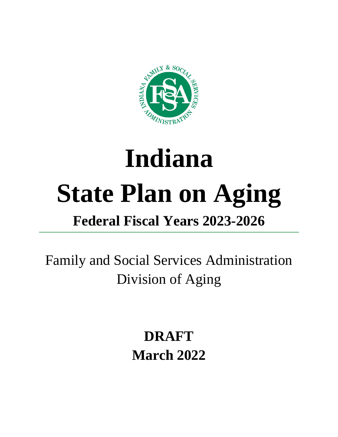

# **Indiana State Plan on Aging Federal Fiscal Years 2023-2026**

Family and Social Services Administration Division of Aging

> **DRAFT March 2022**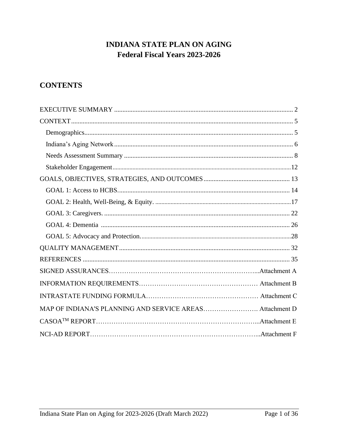# **INDIANA STATE PLAN ON AGING** Federal Fiscal Years 2023-2026

# **CONTENTS**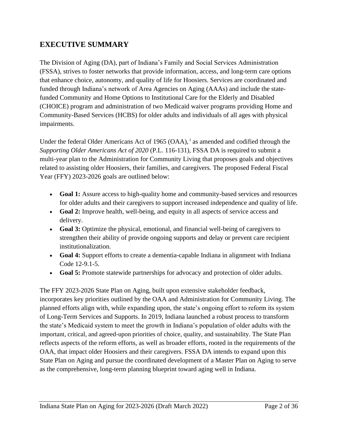## <span id="page-2-0"></span>**EXECUTIVE SUMMARY**

The Division of Aging (DA), part of Indiana's Family and Social Services Administration (FSSA), strives to foster networks that provide information, access, and long-term care options that enhance choice, autonomy, and quality of life for Hoosiers. Services are coordinated and funded through Indiana's network of Area Agencies on Aging (AAAs) and include the statefunded Community and Home Options to Institutional Care for the Elderly and Disabled (CHOICE) program and administration of two Medicaid waiver programs providing Home and Community-Based Services (HCBS) for older adults and individuals of all ages with physical impairments.

Under the federal Older Americans Act of 1965 (OAA), <sup>i</sup> as amended and codified through the *Supporting Older Americans Act of 2020* (P.L. 116-131), FSSA DA is required to submit a multi-year plan to the Administration for Community Living that proposes goals and objectives related to assisting older Hoosiers, their families, and caregivers. The proposed Federal Fiscal Year (FFY) 2023-2026 goals are outlined below:

- **Goal 1:** Assure access to high-quality home and community-based services and resources for older adults and their caregivers to support increased independence and quality of life.
- **Goal 2:** Improve health, well-being, and equity in all aspects of service access and delivery.
- **Goal 3:** Optimize the physical, emotional, and financial well-being of caregivers to strengthen their ability of provide ongoing supports and delay or prevent care recipient institutionalization.
- **Goal 4:** Support efforts to create a dementia-capable Indiana in alignment with Indiana Code 12-9.1-5.
- **Goal 5:** Promote statewide partnerships for advocacy and protection of older adults.

The FFY 2023-2026 State Plan on Aging, built upon extensive stakeholder feedback, incorporates key priorities outlined by the OAA and Administration for Community Living. The planned efforts align with, while expanding upon, the state's ongoing effort to reform its system of Long-Term Services and Supports. In 2019, Indiana launched a robust process to transform the state's Medicaid system to meet the growth in Indiana's population of older adults with the important, critical, and agreed-upon priorities of choice, quality, and sustainability. The State Plan reflects aspects of the reform efforts, as well as broader efforts, rooted in the requirements of the OAA, that impact older Hoosiers and their caregivers. FSSA DA intends to expand upon this State Plan on Aging and pursue the coordinated development of a Master Plan on Aging to serve as the comprehensive, long-term planning blueprint toward aging well in Indiana.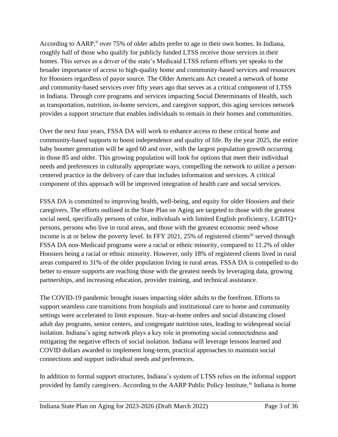According to AARP,<sup>ii</sup> over 75% of older adults prefer to age in their own homes. In Indiana, roughly half of those who qualify for publicly funded LTSS receive those services in their homes. This serves as a driver of the state's Medicaid LTSS reform efforts yet speaks to the broader importance of access to high-quality home and community-based services and resources for Hoosiers regardless of payor source. The Older Americans Act created a network of home and community-based services over fifty years ago that serves as a critical component of LTSS in Indiana. Through core programs and services impacting Social Determinants of Health, such as transportation, nutrition, in-home services, and caregiver support, this aging services network provides a support structure that enables individuals to remain in their homes and communities.

Over the next four years, FSSA DA will work to enhance access to these critical home and community-based supports to boost independence and quality of life. By the year 2025, the entire baby boomer generation will be aged 60 and over, with the largest population growth occurring in those 85 and older. This growing population will look for options that meet their individual needs and preferences in culturally appropriate ways, compelling the network to utilize a personcentered practice in the delivery of care that includes information and services. A critical component of this approach will be improved integration of health care and social services.

FSSA DA is committed to improving health, well-being, and equity for older Hoosiers and their caregivers. The efforts outlined in the State Plan on Aging are targeted to those with the greatest social need, specifically persons of color, individuals with limited English proficiency, LGBTQ+ persons, persons who live in rural areas, and those with the greatest economic need whose income is at or below the poverty level. In FFY 2021, 25% of registered clients<sup>iii</sup> served through FSSA DA non-Medicaid programs were a racial or ethnic minority, compared to 11.2% of older Hoosiers being a racial or ethnic minority. However, only 18% of registered clients lived in rural areas compared to 31% of the older population living in rural areas. FSSA DA is compelled to do better to ensure supports are reaching those with the greatest needs by leveraging data, growing partnerships, and increasing education, provider training, and technical assistance.

The COVID-19 pandemic brought issues impacting older adults to the forefront. Efforts to support seamless care transitions from hospitals and institutional care to home and community settings were accelerated to limit exposure. Stay-at-home orders and social distancing closed adult day programs, senior centers, and congregate nutrition sites, leading to widespread social isolation. Indiana's aging network plays a key role in promoting social connectedness and mitigating the negative effects of social isolation. Indiana will leverage lessons learned and COVID dollars awarded to implement long-term, practical approaches to maintain social connections and support individual needs and preferences.

In addition to formal support structures, Indiana's system of LTSS relies on the informal support provided by family caregivers. According to the AARP Public Policy Institute,<sup>iv</sup> Indiana is home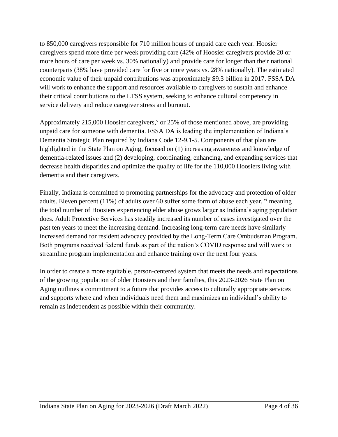to 850,000 caregivers responsible for 710 million hours of unpaid care each year. Hoosier caregivers spend more time per week providing care (42% of Hoosier caregivers provide 20 or more hours of care per week vs. 30% nationally) and provide care for longer than their national counterparts (38% have provided care for five or more years vs. 28% nationally). The estimated economic value of their unpaid contributions was approximately \$9.3 billion in 2017. FSSA DA will work to enhance the support and resources available to caregivers to sustain and enhance their critical contributions to the LTSS system, seeking to enhance cultural competency in service delivery and reduce caregiver stress and burnout.

Approximately 215,000 Hoosier caregivers,  $\sigma$  or 25% of those mentioned above, are providing unpaid care for someone with dementia. FSSA DA is leading the implementation of Indiana's Dementia Strategic Plan required by Indiana Code 12-9.1-5. Components of that plan are highlighted in the State Plan on Aging, focused on (1) increasing awareness and knowledge of dementia-related issues and (2) developing, coordinating, enhancing, and expanding services that decrease health disparities and optimize the quality of life for the 110,000 Hoosiers living with dementia and their caregivers.

Finally, Indiana is committed to promoting partnerships for the advocacy and protection of older adults. Eleven percent  $(11\%)$  of adults over 60 suffer some form of abuse each year,  $\mathrm{v}$  meaning the total number of Hoosiers experiencing elder abuse grows larger as Indiana's aging population does. Adult Protective Services has steadily increased its number of cases investigated over the past ten years to meet the increasing demand. Increasing long-term care needs have similarly increased demand for resident advocacy provided by the Long-Term Care Ombudsman Program. Both programs received federal funds as part of the nation's COVID response and will work to streamline program implementation and enhance training over the next four years.

In order to create a more equitable, person-centered system that meets the needs and expectations of the growing population of older Hoosiers and their families, this 2023-2026 State Plan on Aging outlines a commitment to a future that provides access to culturally appropriate services and supports where and when individuals need them and maximizes an individual's ability to remain as independent as possible within their community.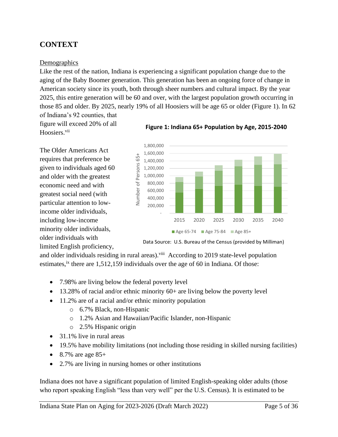# <span id="page-5-0"></span>**CONTEXT**

#### <span id="page-5-1"></span>**Demographics**

Like the rest of the nation, Indiana is experiencing a significant population change due to the aging of the Baby Boomer generation. This generation has been an ongoing force of change in American society since its youth, both through sheer numbers and cultural impact. By the year 2025, this entire generation will be 60 and over, with the largest population growth occurring in those 85 and older. By 2025, nearly 19% of all Hoosiers will be age 65 or older (Figure 1). In 62

of Indiana's 92 counties, that figure will exceed 20% of all Hoosiers.<sup>vii</sup>

The Older Americans Act requires that preference be given to individuals aged 60 and older with the greatest economic need and with greatest social need (with particular attention to lowincome older individuals, including low-income minority older individuals, older individuals with limited English proficiency,





Data Source: U.S. Bureau of the Census (provided by Milliman)

and older individuals residing in rural areas).<sup>viii</sup> According to 2019 state-level population estimates,<sup>ix</sup> there are 1,512,159 individuals over the age of 60 in Indiana. Of those:

- 7.98% are living below the federal poverty level
- $\bullet$  13.28% of racial and/or ethnic minority 60+ are living below the poverty level
- 11.2% are of a racial and/or ethnic minority population
	- o 6.7% Black, non-Hispanic
	- o 1.2% Asian and Hawaiian/Pacific Islander, non-Hispanic
	- o 2.5% Hispanic origin
- 31.1% live in rural areas
- 19.5% have mobility limitations (not including those residing in skilled nursing facilities)
- 8.7% are age  $85+$
- 2.7% are living in nursing homes or other institutions

Indiana does not have a significant population of limited English-speaking older adults (those who report speaking English "less than very well" per the U.S. Census). It is estimated to be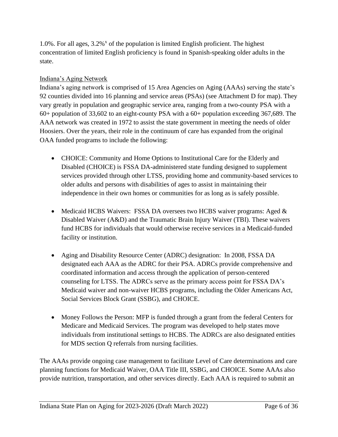1.0%. For all ages,  $3.2\%$ <sup>x</sup> of the population is limited English proficient. The highest concentration of limited English proficiency is found in Spanish-speaking older adults in the state.

#### <span id="page-6-0"></span>Indiana's Aging Network

Indiana's aging network is comprised of 15 Area Agencies on Aging (AAAs) serving the state's 92 counties divided into 16 planning and service areas (PSAs) (see Attachment D for map). They vary greatly in population and geographic service area, ranging from a two-county PSA with a 60+ population of 33,602 to an eight-county PSA with a 60+ population exceeding 367,689. The AAA network was created in 1972 to assist the state government in meeting the needs of older Hoosiers. Over the years, their role in the continuum of care has expanded from the original OAA funded programs to include the following:

- CHOICE: Community and Home Options to Institutional Care for the Elderly and Disabled (CHOICE) is FSSA DA-administered state funding designed to supplement services provided through other LTSS, providing home and community-based services to older adults and persons with disabilities of ages to assist in maintaining their independence in their own homes or communities for as long as is safely possible.
- Medicaid HCBS Waivers: FSSA DA oversees two HCBS waiver programs: Aged  $\&$ Disabled Waiver (A&D) and the Traumatic Brain Injury Waiver (TBI). These waivers fund HCBS for individuals that would otherwise receive services in a Medicaid-funded facility or institution.
- Aging and Disability Resource Center (ADRC) designation: In 2008, FSSA DA designated each AAA as the ADRC for their PSA. ADRCs provide comprehensive and coordinated information and access through the application of person-centered counseling for LTSS. The ADRCs serve as the primary access point for FSSA DA's Medicaid waiver and non-waiver HCBS programs, including the Older Americans Act, Social Services Block Grant (SSBG), and CHOICE.
- Money Follows the Person: MFP is funded through a grant from the federal Centers for Medicare and Medicaid Services. The program was developed to help states move individuals from institutional settings to HCBS. The ADRCs are also designated entities for MDS section Q referrals from nursing facilities.

The AAAs provide ongoing case management to facilitate Level of Care determinations and care planning functions for Medicaid Waiver, OAA Title III, SSBG, and CHOICE. Some AAAs also provide nutrition, transportation, and other services directly. Each AAA is required to submit an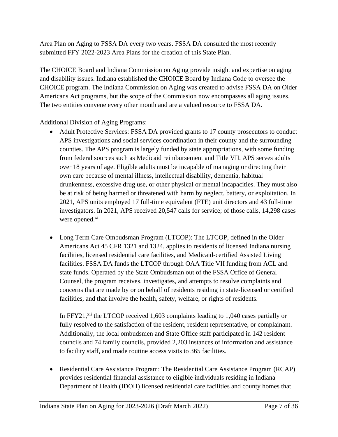Area Plan on Aging to FSSA DA every two years. FSSA DA consulted the most recently submitted FFY 2022-2023 Area Plans for the creation of this State Plan.

The CHOICE Board and Indiana Commission on Aging provide insight and expertise on aging and disability issues. Indiana established the CHOICE Board by Indiana Code to oversee the CHOICE program. The Indiana Commission on Aging was created to advise FSSA DA on Older Americans Act programs, but the scope of the Commission now encompasses all aging issues. The two entities convene every other month and are a valued resource to FSSA DA.

Additional Division of Aging Programs:

- Adult Protective Services: FSSA DA provided grants to 17 county prosecutors to conduct APS investigations and social services coordination in their county and the surrounding counties. The APS program is largely funded by state appropriations, with some funding from federal sources such as Medicaid reimbursement and Title VII. APS serves adults over 18 years of age. Eligible adults must be incapable of managing or directing their own care because of mental illness, intellectual disability, dementia, habitual drunkenness, excessive drug use, or other physical or mental incapacities. They must also be at risk of being harmed or threatened with harm by neglect, battery, or exploitation. In 2021, APS units employed 17 full-time equivalent (FTE) unit directors and 43 full-time investigators. In 2021, APS received 20,547 calls for service; of those calls, 14,298 cases were opened. $x_i$
- Long Term Care Ombudsman Program (LTCOP): The LTCOP, defined in the Older Americans Act 45 CFR 1321 and 1324, applies to residents of licensed Indiana nursing facilities, licensed residential care facilities, and Medicaid-certified Assisted Living facilities. FSSA DA funds the LTCOP through OAA Title VII funding from ACL and state funds. Operated by the State Ombudsman out of the FSSA Office of General Counsel, the program receives, investigates, and attempts to resolve complaints and concerns that are made by or on behalf of residents residing in state-licensed or certified facilities, and that involve the health, safety, welfare, or rights of residents.

In FFY21,<sup>xii</sup> the LTCOP received 1,603 complaints leading to 1,040 cases partially or fully resolved to the satisfaction of the resident, resident representative, or complainant. Additionally, the local ombudsmen and State Office staff participated in 142 resident councils and 74 family councils, provided 2,203 instances of information and assistance to facility staff, and made routine access visits to 365 facilities.

• Residential Care Assistance Program: The Residential Care Assistance Program (RCAP) provides residential financial assistance to eligible individuals residing in Indiana Department of Health (IDOH) licensed residential care facilities and county homes that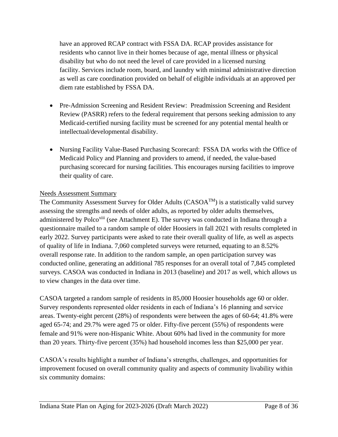have an approved RCAP contract with FSSA DA. RCAP provides assistance for residents who cannot live in their homes because of age, mental illness or physical disability but who do not need the level of care provided in a licensed nursing facility. Services include room, board, and laundry with minimal administrative direction as well as care coordination provided on behalf of eligible individuals at an approved per diem rate established by FSSA DA.

- Pre-Admission Screening and Resident Review: Preadmission Screening and Resident Review (PASRR) refers to the federal requirement that persons seeking admission to any Medicaid-certified nursing facility must be screened for any potential mental health or intellectual/developmental disability.
- Nursing Facility Value-Based Purchasing Scorecard: FSSA DA works with the Office of Medicaid Policy and Planning and providers to amend, if needed, the value-based purchasing scorecard for nursing facilities. This encourages nursing facilities to improve their quality of care.

#### <span id="page-8-0"></span>Needs Assessment Summary

The Community Assessment Survey for Older Adults ( $CASOA^{TM}$ ) is a statistically valid survey assessing the strengths and needs of older adults, as reported by older adults themselves, administered by Polco<sup>xiii</sup> (see Attachment E). The survey was conducted in Indiana through a questionnaire mailed to a random sample of older Hoosiers in fall 2021 with results completed in early 2022. Survey participants were asked to rate their overall quality of life, as well as aspects of quality of life in Indiana. 7,060 completed surveys were returned, equating to an 8.52% overall response rate. In addition to the random sample, an open participation survey was conducted online, generating an additional 785 responses for an overall total of 7,845 completed surveys. CASOA was conducted in Indiana in 2013 (baseline) and 2017 as well, which allows us to view changes in the data over time.

CASOA targeted a random sample of residents in 85,000 Hoosier households age 60 or older. Survey respondents represented older residents in each of Indiana's 16 planning and service areas. Twenty-eight percent (28%) of respondents were between the ages of 60-64; 41.8% were aged 65-74; and 29.7% were aged 75 or older. Fifty-five percent (55%) of respondents were female and 91% were non-Hispanic White. About 60% had lived in the community for more than 20 years. Thirty-five percent (35%) had household incomes less than \$25,000 per year.

CASOA's results highlight a number of Indiana's strengths, challenges, and opportunities for improvement focused on overall community quality and aspects of community livability within six community domains: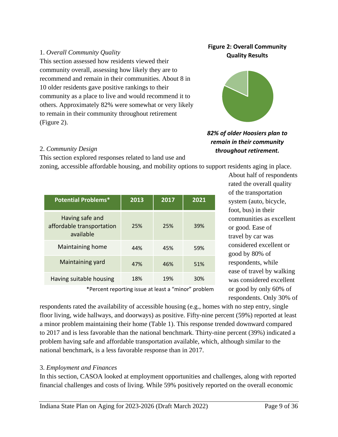#### 1. *Overall Community Quality*

This section assessed how residents viewed their community overall, assessing how likely they are to recommend and remain in their communities. About 8 in 10 older residents gave positive rankings to their community as a place to live and would recommend it to others. Approximately 82% were somewhat or very likely to remain in their community throughout retirement (Figure 2).

#### **Figure 2: Overall Community Quality Results**



#### *82% of older Hoosiers plan to remain in their community throughout retirement.* 2. *Community Design*

This section explored responses related to land use and

zoning, accessible affordable housing, and mobility options to support residents aging in place.

| <b>Potential Problems*</b>                                | 2013 | 2017 | 2021 |
|-----------------------------------------------------------|------|------|------|
| Having safe and<br>affordable transportation<br>available | 25%  | 25%  | 39%  |
| Maintaining home                                          | 44%  | 45%  | 59%  |
| Maintaining yard                                          | 47%  | 46%  | 51%  |
| Having suitable housing                                   | 18%  | 19%  | 30%  |

About half of respondents rated the overall quality of the transportation system (auto, bicycle, foot, bus) in their communities as excellent or good. Ease of travel by car was considered excellent or good by 80% of respondents, while ease of travel by walking was considered excellent or good by only 60% of respondents. Only 30% of

\*Percent reporting issue at least a "minor" problem

respondents rated the availability of accessible housing (e.g., homes with no step entry, single floor living, wide hallways, and doorways) as positive. Fifty-nine percent (59%) reported at least a minor problem maintaining their home (Table 1). This response trended downward compared to 2017 and is less favorable than the national benchmark. Thirty-nine percent (39%) indicated a problem having safe and affordable transportation available, which, although similar to the national benchmark, is a less favorable response than in 2017.

#### 3. *Employment and Finances*

In this section, CASOA looked at employment opportunities and challenges, along with reported financial challenges and costs of living. While 59% positively reported on the overall economic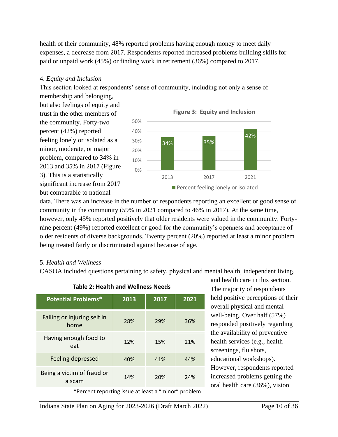health of their community, 48% reported problems having enough money to meet daily expenses, a decrease from 2017. Respondents reported increased problems building skills for paid or unpaid work (45%) or finding work in retirement (36%) compared to 2017.

#### 4. *Equity and Inclusion*

This section looked at respondents' sense of community, including not only a sense of

membership and belonging, but also feelings of equity and trust in the other members of the community. Forty-two percent (42%) reported feeling lonely or isolated as a minor, moderate, or major problem, compared to 34% in 2013 and 35% in 2017 (Figure 3). This is a statistically significant increase from 2017 but comparable to national



data. There was an increase in the number of respondents reporting an excellent or good sense of community in the community (59% in 2021 compared to 46% in 2017). At the same time, however, only 45% reported positively that older residents were valued in the community. Fortynine percent (49%) reported excellent or good for the community's openness and acceptance of older residents of diverse backgrounds. Twenty percent (20%) reported at least a minor problem being treated fairly or discriminated against because of age.

#### 5. *Health and Wellness*

CASOA included questions pertaining to safety, physical and mental health, independent living,

| 2013 | 2017 | 2021 |  |  |
|------|------|------|--|--|
| 28%  | 29%  | 36%  |  |  |
| 12%  | 15%  | 21%  |  |  |
| 40%  | 41%  | 44%  |  |  |
| 14%  | 20%  | 24%  |  |  |
|      |      |      |  |  |

#### **Table 2: Health and Wellness Needs**

and health care in this section. The majority of respondents held positive perceptions of their overall physical and mental well-being. Over half (57%) responded positively regarding the availability of preventive health services (e.g., health screenings, flu shots, educational workshops). However, respondents reported increased problems getting the oral health care (36%), vision

\*Percent reporting issue at least a "minor" problem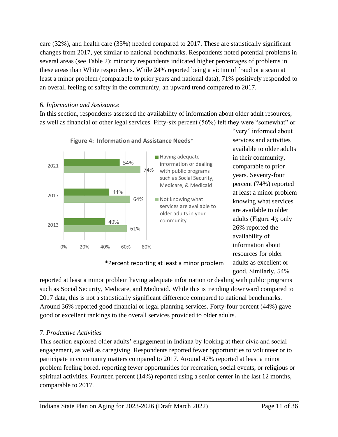care (32%), and health care (35%) needed compared to 2017. These are statistically significant changes from 2017, yet similar to national benchmarks. Respondents noted potential problems in several areas (see Table 2); minority respondents indicated higher percentages of problems in these areas than White respondents. While 24% reported being a victim of fraud or a scam at least a minor problem (comparable to prior years and national data), 71% positively responded to an overall feeling of safety in the community, an upward trend compared to 2017.

#### 6. *Information and Assistance*

In this section, respondents assessed the availability of information about older adult resources, as well as financial or other legal services. Fifty-six percent (56%) felt they were "somewhat" or



**Figure 4: Information and Assistance Needs\*** 

\*Percent reporting at least a minor problem

good. Similarly, 54% reported at least a minor problem having adequate information or dealing with public programs such as Social Security, Medicare, and Medicaid. While this is trending downward compared to 2017 data, this is not a statistically significant difference compared to national benchmarks. Around 36% reported good financial or legal planning services. Forty-four percent (44%) gave good or excellent rankings to the overall services provided to older adults.

#### 7. *Productive Activities*

This section explored older adults' engagement in Indiana by looking at their civic and social engagement, as well as caregiving. Respondents reported fewer opportunities to volunteer or to participate in community matters compared to 2017. Around 47% reported at least a minor problem feeling bored, reporting fewer opportunities for recreation, social events, or religious or spiritual activities. Fourteen percent (14%) reported using a senior center in the last 12 months, comparable to 2017.

"very" informed about services and activities available to older adults in their community, comparable to prior years. Seventy-four percent (74%) reported at least a minor problem knowing what services are available to older adults (Figure 4); only

26% reported the availability of information about resources for older adults as excellent or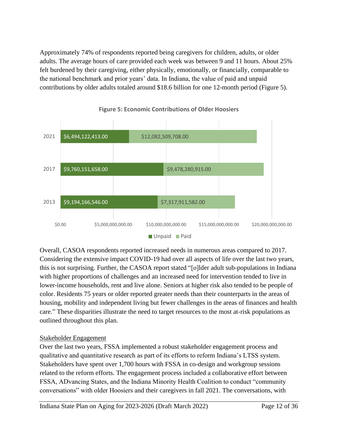Approximately 74% of respondents reported being caregivers for children, adults, or older adults. The average hours of care provided each week was between 9 and 11 hours. About 25% felt burdened by their caregiving, either physically, emotionally, or financially, comparable to the national benchmark and prior years' data. In Indiana, the value of paid and unpaid contributions by older adults totaled around \$18.6 billion for one 12-month period (Figure 5).



**Figure 5: Economic Contributions of Older Hoosiers**

Overall, CASOA respondents reported increased needs in numerous areas compared to 2017. Considering the extensive impact COVID-19 had over all aspects of life over the last two years, this is not surprising. Further, the CASOA report stated "[o]lder adult sub-populations in Indiana with higher proportions of challenges and an increased need for intervention tended to live in lower-income households, rent and live alone. Seniors at higher risk also tended to be people of color. Residents 75 years or older reported greater needs than their counterparts in the areas of housing, mobility and independent living but fewer challenges in the areas of finances and health care." These disparities illustrate the need to target resources to the most at-risk populations as outlined throughout this plan.

#### <span id="page-12-0"></span>Stakeholder Engagement

Over the last two years, FSSA implemented a robust stakeholder engagement process and qualitative and quantitative research as part of its efforts to reform Indiana's LTSS system. Stakeholders have spent over 1,700 hours with FSSA in co-design and workgroup sessions related to the reform efforts. The engagement process included a collaborative effort between FSSA, ADvancing States, and the Indiana Minority Health Coalition to conduct "community conversations" with older Hoosiers and their caregivers in fall 2021. The conversations, with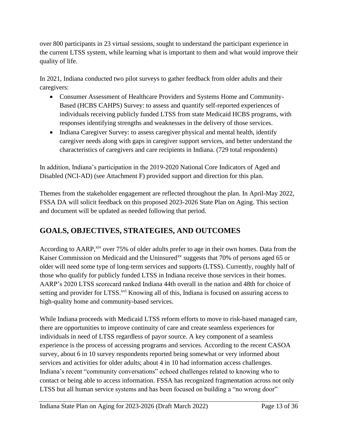over 800 participants in 23 virtual sessions, sought to understand the participant experience in the current LTSS system, while learning what is important to them and what would improve their quality of life.

In 2021, Indiana conducted two pilot surveys to gather feedback from older adults and their caregivers:

- Consumer Assessment of Healthcare Providers and Systems Home and Community-Based (HCBS CAHPS) Survey: to assess and quantify self-reported experiences of individuals receiving publicly funded LTSS from state Medicaid HCBS programs, with responses identifying strengths and weaknesses in the delivery of those services.
- Indiana Caregiver Survey: to assess caregiver physical and mental health, identify caregiver needs along with gaps in caregiver support services, and better understand the characteristics of caregivers and care recipients in Indiana. (729 total respondents)

In addition, Indiana's participation in the 2019-2020 National Core Indicators of Aged and Disabled (NCI-AD) (see Attachment F) provided support and direction for this plan.

Themes from the stakeholder engagement are reflected throughout the plan. In April-May 2022, FSSA DA will solicit feedback on this proposed 2023-2026 State Plan on Aging. This section and document will be updated as needed following that period.

# **GOALS, OBJECTIVES, STRATEGIES, AND OUTCOMES**

According to AARP,<sup>xiv</sup> over 75% of older adults prefer to age in their own homes. Data from the Kaiser Commission on Medicaid and the Uninsured<sup>xv</sup> suggests that 70% of persons aged 65 or older will need some type of long-term services and supports (LTSS). Currently, roughly half of those who qualify for publicly funded LTSS in Indiana receive those services in their homes. AARP's 2020 LTSS scorecard ranked Indiana 44th overall in the nation and 48th for choice of setting and provider for LTSS.<sup>xvi</sup> Knowing all of this, Indiana is focused on assuring access to high-quality home and community-based services.

While Indiana proceeds with Medicaid LTSS reform efforts to move to risk-based managed care, there are opportunities to improve continuity of care and create seamless experiences for individuals in need of LTSS regardless of payor source. A key component of a seamless experience is the process of accessing programs and services. According to the recent CASOA survey, about 6 in 10 survey respondents reported being somewhat or very informed about services and activities for older adults; about 4 in 10 had information access challenges. Indiana's recent "community conversations" echoed challenges related to knowing who to contact or being able to access information. FSSA has recognized fragmentation across not only LTSS but all human service systems and has been focused on building a "no wrong door"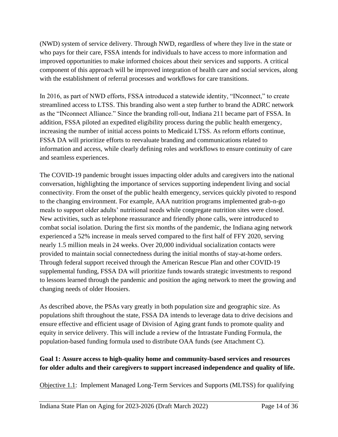(NWD) system of service delivery. Through NWD, regardless of where they live in the state or who pays for their care, FSSA intends for individuals to have access to more information and improved opportunities to make informed choices about their services and supports. A critical component of this approach will be improved integration of health care and social services, along with the establishment of referral processes and workflows for care transitions.

In 2016, as part of NWD efforts, FSSA introduced a statewide identity, "INconnect," to create streamlined access to LTSS. This branding also went a step further to brand the ADRC network as the "INconnect Alliance." Since the branding roll-out, Indiana 211 became part of FSSA. In addition, FSSA piloted an expedited eligibility process during the public health emergency, increasing the number of initial access points to Medicaid LTSS. As reform efforts continue, FSSA DA will prioritize efforts to reevaluate branding and communications related to information and access, while clearly defining roles and workflows to ensure continuity of care and seamless experiences.

The COVID-19 pandemic brought issues impacting older adults and caregivers into the national conversation, highlighting the importance of services supporting independent living and social connectivity. From the onset of the public health emergency, services quickly pivoted to respond to the changing environment. For example, AAA nutrition programs implemented grab-n-go meals to support older adults' nutritional needs while congregate nutrition sites were closed. New activities, such as telephone reassurance and friendly phone calls, were introduced to combat social isolation. During the first six months of the pandemic, the Indiana aging network experienced a 52% increase in meals served compared to the first half of FFY 2020, serving nearly 1.5 million meals in 24 weeks. Over 20,000 individual socialization contacts were provided to maintain social connectedness during the initial months of stay-at-home orders. Through federal support received through the American Rescue Plan and other COVID-19 supplemental funding, FSSA DA will prioritize funds towards strategic investments to respond to lessons learned through the pandemic and position the aging network to meet the growing and changing needs of older Hoosiers.

As described above, the PSAs vary greatly in both population size and geographic size. As populations shift throughout the state, FSSA DA intends to leverage data to drive decisions and ensure effective and efficient usage of Division of Aging grant funds to promote quality and equity in service delivery. This will include a review of the Intrastate Funding Formula, the population-based funding formula used to distribute OAA funds (see Attachment C).

#### **Goal 1: Assure access to high-quality home and community-based services and resources for older adults and their caregivers to support increased independence and quality of life.**

Objective 1.1: Implement Managed Long-Term Services and Supports (MLTSS) for qualifying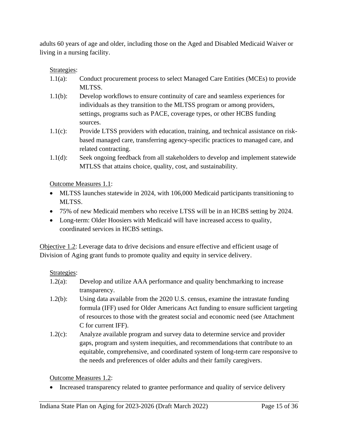adults 60 years of age and older, including those on the Aged and Disabled Medicaid Waiver or living in a nursing facility.

#### Strategies:

- 1.1(a): Conduct procurement process to select Managed Care Entities (MCEs) to provide MLTSS.
- 1.1(b): Develop workflows to ensure continuity of care and seamless experiences for individuals as they transition to the MLTSS program or among providers, settings, programs such as PACE, coverage types, or other HCBS funding sources.
- 1.1(c): Provide LTSS providers with education, training, and technical assistance on riskbased managed care, transferring agency-specific practices to managed care, and related contracting.
- 1.1(d): Seek ongoing feedback from all stakeholders to develop and implement statewide MTLSS that attains choice, quality, cost, and sustainability.

#### Outcome Measures 1.1:

- MLTSS launches statewide in 2024, with 106,000 Medicaid participants transitioning to MLTSS.
- 75% of new Medicaid members who receive LTSS will be in an HCBS setting by 2024.
- Long-term: Older Hoosiers with Medicaid will have increased access to quality, coordinated services in HCBS settings.

Objective 1.2: Leverage data to drive decisions and ensure effective and efficient usage of Division of Aging grant funds to promote quality and equity in service delivery.

#### Strategies:

- 1.2(a): Develop and utilize AAA performance and quality benchmarking to increase transparency.
- 1.2(b): Using data available from the 2020 U.S. census, examine the intrastate funding formula (IFF) used for Older Americans Act funding to ensure sufficient targeting of resources to those with the greatest social and economic need (see Attachment C for current IFF).
- 1.2(c): Analyze available program and survey data to determine service and provider gaps, program and system inequities, and recommendations that contribute to an equitable, comprehensive, and coordinated system of long-term care responsive to the needs and preferences of older adults and their family caregivers.

Outcome Measures 1.2:

• Increased transparency related to grantee performance and quality of service delivery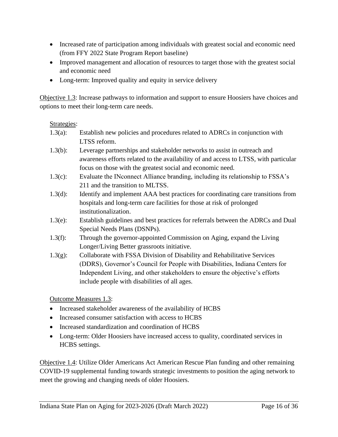- Increased rate of participation among individuals with greatest social and economic need (from FFY 2022 State Program Report baseline)
- Improved management and allocation of resources to target those with the greatest social and economic need
- Long-term: Improved quality and equity in service delivery

Objective 1.3: Increase pathways to information and support to ensure Hoosiers have choices and options to meet their long-term care needs.

#### Strategies:

- 1.3(a): Establish new policies and procedures related to ADRCs in conjunction with LTSS reform.
- 1.3(b): Leverage partnerships and stakeholder networks to assist in outreach and awareness efforts related to the availability of and access to LTSS, with particular focus on those with the greatest social and economic need.
- 1.3(c): Evaluate the INconnect Alliance branding, including its relationship to FSSA's 211 and the transition to MLTSS.
- 1.3(d): Identify and implement AAA best practices for coordinating care transitions from hospitals and long-term care facilities for those at risk of prolonged institutionalization.
- 1.3(e): Establish guidelines and best practices for referrals between the ADRCs and Dual Special Needs Plans (DSNPs).
- 1.3(f): Through the governor-appointed Commission on Aging, expand the Living Longer/Living Better grassroots initiative.
- 1.3(g): Collaborate with FSSA Division of Disability and Rehabilitative Services (DDRS), Governor's Council for People with Disabilities, Indiana Centers for Independent Living, and other stakeholders to ensure the objective's efforts include people with disabilities of all ages.

Outcome Measures 1.3:

- Increased stakeholder awareness of the availability of HCBS
- Increased consumer satisfaction with access to HCBS
- Increased standardization and coordination of HCBS
- Long-term: Older Hoosiers have increased access to quality, coordinated services in HCBS settings.

Objective 1.4: Utilize Older Americans Act American Rescue Plan funding and other remaining COVID-19 supplemental funding towards strategic investments to position the aging network to meet the growing and changing needs of older Hoosiers.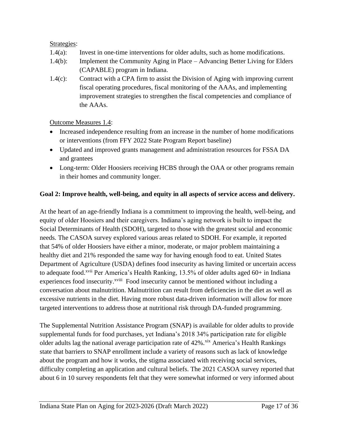#### Strategies:

- 1.4(a): Invest in one-time interventions for older adults, such as home modifications.
- 1.4(b): Implement the Community Aging in Place Advancing Better Living for Elders (CAPABLE) program in Indiana.
- 1.4(c): Contract with a CPA firm to assist the Division of Aging with improving current fiscal operating procedures, fiscal monitoring of the AAAs, and implementing improvement strategies to strengthen the fiscal competencies and compliance of the AAAs.

#### Outcome Measures 1.4:

- Increased independence resulting from an increase in the number of home modifications or interventions (from FFY 2022 State Program Report baseline)
- Updated and improved grants management and administration resources for FSSA DA and grantees
- Long-term: Older Hoosiers receiving HCBS through the OAA or other programs remain in their homes and community longer.

#### **Goal 2: Improve health, well-being, and equity in all aspects of service access and delivery.**

At the heart of an age-friendly Indiana is a commitment to improving the health, well-being, and equity of older Hoosiers and their caregivers. Indiana's aging network is built to impact the Social Determinants of Health (SDOH), targeted to those with the greatest social and economic needs. The CASOA survey explored various areas related to SDOH. For example, it reported that 54% of older Hoosiers have either a minor, moderate, or major problem maintaining a healthy diet and 21% responded the same way for having enough food to eat. United States Department of Agriculture (USDA) defines food insecurity as having limited or uncertain access to adequate food.<sup>xvii</sup> Per America's Health Ranking, 13.5% of older adults aged  $60+$  in Indiana experiences food insecurity.<sup>xviii</sup> Food insecurity cannot be mentioned without including a conversation about malnutrition. Malnutrition can result from deficiencies in the diet as well as excessive nutrients in the diet. Having more robust data-driven information will allow for more targeted interventions to address those at nutritional risk through DA-funded programming.

The Supplemental Nutrition Assistance Program (SNAP) is available for older adults to provide supplemental funds for food purchases, yet Indiana's 2018 34% participation rate for eligible older adults lag the national average participation rate of  $42\%$ .  $\frac{\text{six}}{\text{Ax}}$  America's Health Rankings state that barriers to SNAP enrollment include a variety of reasons such as lack of knowledge about the program and how it works, the stigma associated with receiving social services, difficulty completing an application and cultural beliefs. The 2021 CASOA survey reported that about 6 in 10 survey respondents felt that they were somewhat informed or very informed about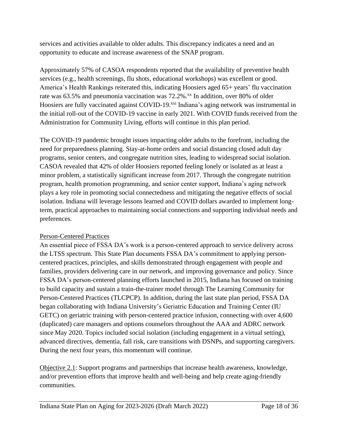services and activities available to older adults. This discrepancy indicates a need and an opportunity to educate and increase awareness of the SNAP program.

Approximately 57% of CASOA respondents reported that the availability of preventive health services (e.g., health screenings, flu shots, educational workshops) was excellent or good. America's Health Rankings reiterated this, indicating Hoosiers aged 65+ years' flu vaccination rate was  $63.5\%$  and pneumonia vaccination was  $72.2\%$ .<sup>xx</sup> In addition, over 80% of older Hoosiers are fully vaccinated against COVID-19.<sup>xxi</sup> Indiana's aging network was instrumental in the initial roll-out of the COVID-19 vaccine in early 2021. With COVID funds received from the Administration for Community Living, efforts will continue in this plan period.

The COVID-19 pandemic brought issues impacting older adults to the forefront, including the need for preparedness planning. Stay-at-home orders and social distancing closed adult day programs, senior centers, and congregate nutrition sites, leading to widespread social isolation. CASOA revealed that 42% of older Hoosiers reported feeling lonely or isolated as at least a minor problem, a statistically significant increase from 2017. Through the congregate nutrition program, health promotion programming, and senior center support, Indiana's aging network plays a key role in promoting social connectedness and mitigating the negative effects of social isolation. Indiana will leverage lessons learned and COVID dollars awarded to implement longterm, practical approaches to maintaining social connections and supporting individual needs and preferences.

#### Person-Centered Practices

An essential piece of FSSA DA's work is a person-centered approach to service delivery across the LTSS spectrum. This State Plan documents FSSA DA's commitment to applying personcentered practices, principles, and skills demonstrated through engagement with people and families, providers delivering care in our network, and improving governance and policy. Since FSSA DA's person-centered planning efforts launched in 2015, Indiana has focused on training to build capacity and sustain a train-the-trainer model through The Learning Community for Person-Centered Practices (TLCPCP). In addition, during the last state plan period, FSSA DA began collaborating with Indiana University's Geriatric Education and Training Center (IU GETC) on geriatric training with person-centered practice infusion, connecting with over 4,600 (duplicated) care managers and options counselors throughout the AAA and ADRC network since May 2020. Topics included social isolation (including engagement in a virtual setting), advanced directives, dementia, fall risk, care transitions with DSNPs, and supporting caregivers. During the next four years, this momentum will continue.

Objective 2.1: Support programs and partnerships that increase health awareness, knowledge, and/or prevention efforts that improve health and well-being and help create aging-friendly communities.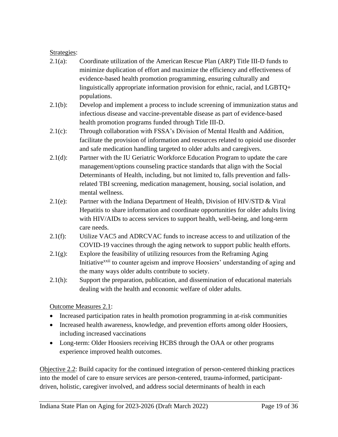#### Strategies:

- 2.1(a): Coordinate utilization of the American Rescue Plan (ARP) Title III-D funds to minimize duplication of effort and maximize the efficiency and effectiveness of evidence-based health promotion programming, ensuring culturally and linguistically appropriate information provision for ethnic, racial, and LGBTQ+ populations.
- 2.1(b): Develop and implement a process to include screening of immunization status and infectious disease and vaccine-preventable disease as part of evidence-based health promotion programs funded through Title III-D.
- 2.1(c): Through collaboration with FSSA's Division of Mental Health and Addition, facilitate the provision of information and resources related to opioid use disorder and safe medication handling targeted to older adults and caregivers.
- 2.1(d): Partner with the IU Geriatric Workforce Education Program to update the care management/options counseling practice standards that align with the Social Determinants of Health, including, but not limited to, falls prevention and fallsrelated TBI screening, medication management, housing, social isolation, and mental wellness.
- 2.1(e): Partner with the Indiana Department of Health, Division of HIV/STD & Viral Hepatitis to share information and coordinate opportunities for older adults living with HIV/AIDs to access services to support health, well-being, and long-term care needs.
- 2.1(f): Utilize VAC5 and ADRCVAC funds to increase access to and utilization of the COVID-19 vaccines through the aging network to support public health efforts.
- $2.1(g)$ : Explore the feasibility of utilizing resources from the Reframing Aging Initiative<sup>xxii</sup> to counter ageism and improve Hoosiers' understanding of aging and the many ways older adults contribute to society.
- 2.1(h): Support the preparation, publication, and dissemination of educational materials dealing with the health and economic welfare of older adults.

Outcome Measures 2.1:

- Increased participation rates in health promotion programming in at-risk communities
- Increased health awareness, knowledge, and prevention efforts among older Hoosiers, including increased vaccinations
- Long-term: Older Hoosiers receiving HCBS through the OAA or other programs experience improved health outcomes.

Objective 2.2: Build capacity for the continued integration of person-centered thinking practices into the model of care to ensure services are person-centered, trauma-informed, participantdriven, holistic, caregiver involved, and address social determinants of health in each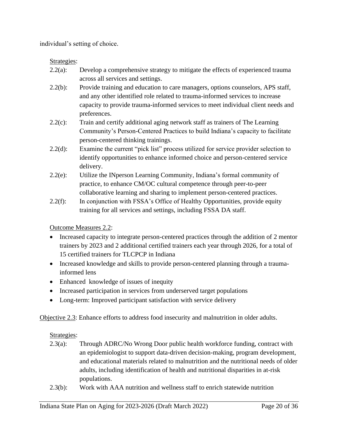individual's setting of choice.

Strategies:

- 2.2(a): Develop a comprehensive strategy to mitigate the effects of experienced trauma across all services and settings.
- 2.2(b): Provide training and education to care managers, options counselors, APS staff, and any other identified role related to trauma-informed services to increase capacity to provide trauma-informed services to meet individual client needs and preferences.
- 2.2(c): Train and certify additional aging network staff as trainers of The Learning Community's Person-Centered Practices to build Indiana's capacity to facilitate person-centered thinking trainings.
- 2.2(d): Examine the current "pick list" process utilized for service provider selection to identify opportunities to enhance informed choice and person-centered service delivery.
- 2.2(e): Utilize the INperson Learning Community, Indiana's formal community of practice, to enhance CM/OC cultural competence through peer-to-peer collaborative learning and sharing to implement person-centered practices.
- 2.2(f): In conjunction with FSSA's Office of Healthy Opportunities, provide equity training for all services and settings, including FSSA DA staff.

Outcome Measures 2.2:

- Increased capacity to integrate person-centered practices through the addition of 2 mentor trainers by 2023 and 2 additional certified trainers each year through 2026, for a total of 15 certified trainers for TLCPCP in Indiana
- Increased knowledge and skills to provide person-centered planning through a traumainformed lens
- Enhanced knowledge of issues of inequity
- Increased participation in services from underserved target populations
- Long-term: Improved participant satisfaction with service delivery

Objective 2.3: Enhance efforts to address food insecurity and malnutrition in older adults.

Strategies:

- 2.3(a): Through ADRC/No Wrong Door public health workforce funding, contract with an epidemiologist to support data-driven decision-making, program development, and educational materials related to malnutrition and the nutritional needs of older adults, including identification of health and nutritional disparities in at-risk populations.
- 2.3(b): Work with AAA nutrition and wellness staff to enrich statewide nutrition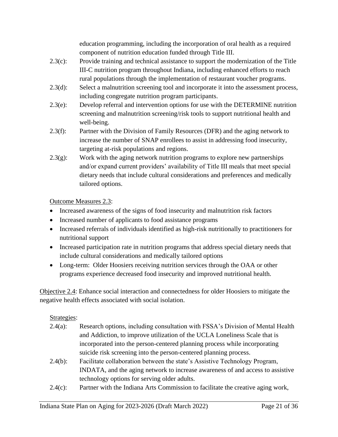education programming, including the incorporation of oral health as a required component of nutrition education funded through Title III.

- 2.3(c): Provide training and technical assistance to support the modernization of the Title III-C nutrition program throughout Indiana, including enhanced efforts to reach rural populations through the implementation of restaurant voucher programs.
- 2.3(d): Select a malnutrition screening tool and incorporate it into the assessment process, including congregate nutrition program participants.
- 2.3(e): Develop referral and intervention options for use with the DETERMINE nutrition screening and malnutrition screening/risk tools to support nutritional health and well-being.
- 2.3(f): Partner with the Division of Family Resources (DFR) and the aging network to increase the number of SNAP enrollees to assist in addressing food insecurity, targeting at-risk populations and regions.
- $2.3(g)$ : Work with the aging network nutrition programs to explore new partnerships and/or expand current providers' availability of Title III meals that meet special dietary needs that include cultural considerations and preferences and medically tailored options.

Outcome Measures 2.3:

- Increased awareness of the signs of food insecurity and malnutrition risk factors
- Increased number of applicants to food assistance programs
- Increased referrals of individuals identified as high-risk nutritionally to practitioners for nutritional support
- Increased participation rate in nutrition programs that address special dietary needs that include cultural considerations and medically tailored options
- Long-term: Older Hoosiers receiving nutrition services through the OAA or other programs experience decreased food insecurity and improved nutritional health.

Objective 2.4: Enhance social interaction and connectedness for older Hoosiers to mitigate the negative health effects associated with social isolation.

#### Strategies:

- 2.4(a): Research options, including consultation with FSSA's Division of Mental Health and Addiction, to improve utilization of the UCLA Loneliness Scale that is incorporated into the person-centered planning process while incorporating suicide risk screening into the person-centered planning process.
- 2.4(b): Facilitate collaboration between the state's Assistive Technology Program, INDATA, and the aging network to increase awareness of and access to assistive technology options for serving older adults.
- 2.4(c): Partner with the Indiana Arts Commission to facilitate the creative aging work,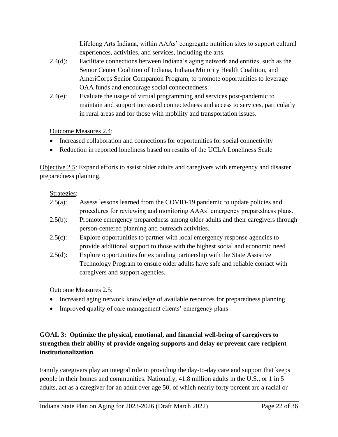Lifelong Arts Indiana, within AAAs' congregate nutrition sites to support cultural experiences, activities, and services, including the arts.

- 2.4(d): Facilitate connections between Indiana's aging network and entities, such as the Senior Center Coalition of Indiana, Indiana Minority Health Coalition, and AmeriCorps Senior Companion Program, to promote opportunities to leverage OAA funds and encourage social connectedness.
- 2.4(e): Evaluate the usage of virtual programming and services post-pandemic to maintain and support increased connectedness and access to services, particularly in rural areas and for those with mobility and transportation issues.

Outcome Measures 2.4:

- Increased collaboration and connections for opportunities for social connectivity
- Reduction in reported loneliness based on results of the UCLA Loneliness Scale

Objective 2.5: Expand efforts to assist older adults and caregivers with emergency and disaster preparedness planning.

#### Strategies:

| $2.5(a)$ : | Assess lessons learned from the COVID-19 pandemic to update policies and       |
|------------|--------------------------------------------------------------------------------|
|            | procedures for reviewing and monitoring AAAs' emergency preparedness plans.    |
| $2.5(b)$ : | Promote emergency preparedness among older adults and their caregivers through |
|            | person-centered planning and outreach activities.                              |
| $2.5(c)$ : | Explore opportunities to partner with local emergency response agencies to     |
|            | provide additional support to those with the highest social and economic need  |
| 2.5(d):    | Explore opportunities for expanding partnership with the State Assistive       |
|            | Technology Program to ensure older adults have safe and reliable contact with  |
|            | caregivers and support agencies.                                               |

Outcome Measures 2.5:

- Increased aging network knowledge of available resources for preparedness planning
- Improved quality of care management clients' emergency plans

#### <span id="page-22-0"></span>**GOAL 3: Optimize the physical, emotional, and financial well-being of caregivers to strengthen their ability of provide ongoing supports and delay or prevent care recipient institutionalization**.

Family caregivers play an integral role in providing the day-to-day care and support that keeps people in their homes and communities. Nationally, 41.8 million adults in the U.S., or 1 in 5 adults, act as a caregiver for an adult over age 50, of which nearly forty percent are a racial or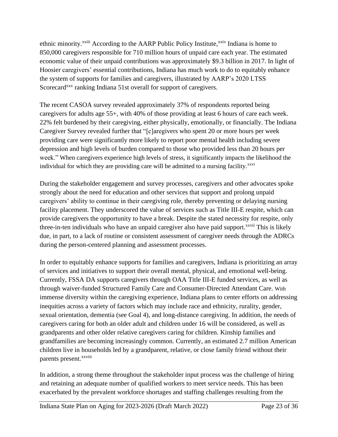ethnic minority.<sup>xxiii</sup> According to the AARP Public Policy Institute,<sup>xxiv</sup> Indiana is home to 850,000 caregivers responsible for 710 million hours of unpaid care each year. The estimated economic value of their unpaid contributions was approximately \$9.3 billion in 2017. In light of Hoosier caregivers' essential contributions, Indiana has much work to do to equitably enhance the system of supports for families and caregivers, illustrated by AARP's 2020 LTSS Scorecard<sup>xxv</sup> ranking Indiana 51st overall for support of caregivers.

The recent CASOA survey revealed approximately 37% of respondents reported being caregivers for adults age 55+, with 40% of those providing at least 6 hours of care each week. 22% felt burdened by their caregiving, either physically, emotionally, or financially. The Indiana Caregiver Survey revealed further that "[c]aregivers who spent 20 or more hours per week providing care were significantly more likely to report poor mental health including severe depression and high levels of burden compared to those who provided less than 20 hours per week." When caregivers experience high levels of stress, it significantly impacts the likelihood the individual for which they are providing care will be admitted to a nursing facility.<sup>xxvi</sup>

During the stakeholder engagement and survey processes, caregivers and other advocates spoke strongly about the need for education and other services that support and prolong unpaid caregivers' ability to continue in their caregiving role, thereby preventing or delaying nursing facility placement. They underscored the value of services such as Title III-E respite, which can provide caregivers the opportunity to have a break. Despite the stated necessity for respite, only three-in-ten individuals who have an unpaid caregiver also have paid support.<sup>xxvii</sup> This is likely due, in part, to a lack of routine or consistent assessment of caregiver needs through the ADRCs during the person-centered planning and assessment processes.

In order to equitably enhance supports for families and caregivers, Indiana is prioritizing an array of services and initiatives to support their overall mental, physical, and emotional well-being. Currently, FSSA DA supports caregivers through OAA Title III-E funded services, as well as through waiver-funded Structured Family Care and Consumer-Directed Attendant Care. With immense diversity within the caregiving experience, Indiana plans to center efforts on addressing inequities across a variety of factors which may include race and ethnicity, rurality, gender, sexual orientation, dementia (see Goal 4), and long-distance caregiving. In addition, the needs of caregivers caring for both an older adult and children under 16 will be considered, as well as grandparents and other older relative caregivers caring for children. Kinship families and grandfamilies are becoming increasingly common. Currently, an estimated 2.7 million American children live in households led by a grandparent, relative, or close family friend without their parents present.<sup>xxviii</sup>

In addition, a strong theme throughout the stakeholder input process was the challenge of hiring and retaining an adequate number of qualified workers to meet service needs. This has been exacerbated by the prevalent workforce shortages and staffing challenges resulting from the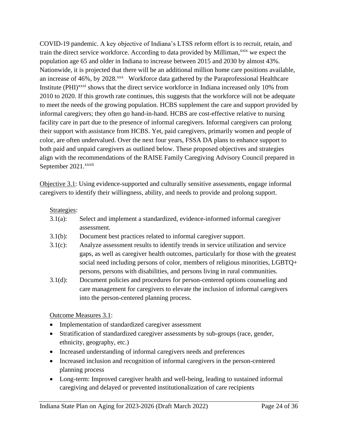COVID-19 pandemic. A key objective of Indiana's LTSS reform effort is to recruit, retain, and train the direct service workforce. According to data provided by Milliman,<sup>xxix</sup> we expect the population age 65 and older in Indiana to increase between 2015 and 2030 by almost 43%. Nationwide, it is projected that there will be an additional million home care positions available, an increase of 46%, by 2028.<sup>xxx</sup> Workforce data gathered by the Paraprofessional Healthcare Institute (PHI)<sup>xxxi</sup> shows that the direct service workforce in Indiana increased only 10% from 2010 to 2020. If this growth rate continues, this suggests that the workforce will not be adequate to meet the needs of the growing population. HCBS supplement the care and support provided by informal caregivers; they often go hand-in-hand. HCBS are cost-effective relative to nursing facility care in part due to the presence of informal caregivers. Informal caregivers can prolong their support with assistance from HCBS. Yet, paid caregivers, primarily women and people of color, are often undervalued. Over the next four years, FSSA DA plans to enhance support to both paid and unpaid caregivers as outlined below. These proposed objectives and strategies align with the recommendations of the RAISE Family Caregiving Advisory Council prepared in September 2021.<sup>xxxii</sup>

Objective 3.1: Using evidence-supported and culturally sensitive assessments, engage informal caregivers to identify their willingness, ability, and needs to provide and prolong support.

#### Strategies:

- 3.1(a): Select and implement a standardized, evidence-informed informal caregiver assessment.
- 3.1(b): Document best practices related to informal caregiver support.
- 3.1(c): Analyze assessment results to identify trends in service utilization and service gaps, as well as caregiver health outcomes, particularly for those with the greatest social need including persons of color, members of religious minorities, LGBTQ+ persons, persons with disabilities, and persons living in rural communities.
- 3.1(d): Document policies and procedures for person-centered options counseling and care management for caregivers to elevate the inclusion of informal caregivers into the person-centered planning process.

Outcome Measures 3.1:

- Implementation of standardized caregiver assessment
- Stratification of standardized caregiver assessments by sub-groups (race, gender, ethnicity, geography, etc.)
- Increased understanding of informal caregivers needs and preferences
- Increased inclusion and recognition of informal caregivers in the person-centered planning process
- Long-term: Improved caregiver health and well-being, leading to sustained informal caregiving and delayed or prevented institutionalization of care recipients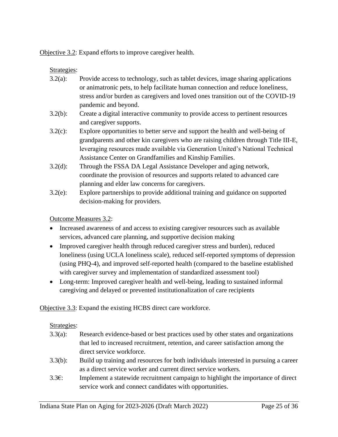Objective 3.2: Expand efforts to improve caregiver health.

Strategies:

- 3.2(a): Provide access to technology, such as tablet devices, image sharing applications or animatronic pets, to help facilitate human connection and reduce loneliness, stress and/or burden as caregivers and loved ones transition out of the COVID-19 pandemic and beyond.
- 3.2(b): Create a digital interactive community to provide access to pertinent resources and caregiver supports.
- 3.2(c): Explore opportunities to better serve and support the health and well-being of grandparents and other kin caregivers who are raising children through Title III-E, leveraging resources made available via Generation United's National Technical Assistance Center on Grandfamilies and Kinship Families.
- 3.2(d): Through the FSSA DA Legal Assistance Developer and aging network, coordinate the provision of resources and supports related to advanced care planning and elder law concerns for caregivers.
- 3.2(e): Explore partnerships to provide additional training and guidance on supported decision-making for providers.

Outcome Measures 3.2:

- Increased awareness of and access to existing caregiver resources such as available services, advanced care planning, and supportive decision making
- Improved caregiver health through reduced caregiver stress and burden), reduced loneliness (using UCLA loneliness scale), reduced self-reported symptoms of depression (using PHQ-4), and improved self-reported health (compared to the baseline established with caregiver survey and implementation of standardized assessment tool)
- Long-term: Improved caregiver health and well-being, leading to sustained informal caregiving and delayed or prevented institutionalization of care recipients

Objective 3.3: Expand the existing HCBS direct care workforce.

#### Strategies:

- 3.3(a): Research evidence-based or best practices used by other states and organizations that led to increased recruitment, retention, and career satisfaction among the direct service workforce.
- 3.3(b): Build up training and resources for both individuals interested in pursuing a career as a direct service worker and current direct service workers.
- 3.3€: Implement a statewide recruitment campaign to highlight the importance of direct service work and connect candidates with opportunities.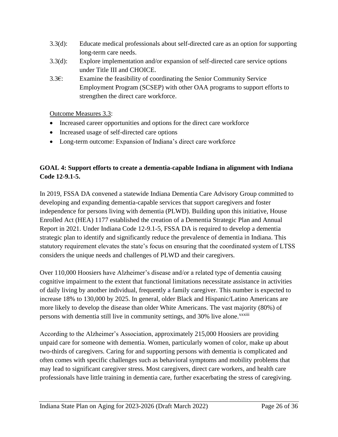- 3.3(d): Educate medical professionals about self-directed care as an option for supporting long-term care needs.
- 3.3(d): Explore implementation and/or expansion of self-directed care service options under Title III and CHOICE.
- 3.3€: Examine the feasibility of coordinating the Senior Community Service Employment Program (SCSEP) with other OAA programs to support efforts to strengthen the direct care workforce.

Outcome Measures 3.3:

- Increased career opportunities and options for the direct care workforce
- Increased usage of self-directed care options
- Long-term outcome: Expansion of Indiana's direct care workforce

#### <span id="page-26-0"></span>**GOAL 4: Support efforts to create a dementia-capable Indiana in alignment with Indiana Code 12-9.1-5.**

In 2019, FSSA DA convened a statewide Indiana Dementia Care Advisory Group committed to developing and expanding dementia-capable services that support caregivers and foster independence for persons living with dementia (PLWD). Building upon this initiative, House Enrolled Act (HEA) 1177 established the creation of a Dementia Strategic Plan and Annual Report in 2021. Under Indiana Code 12-9.1-5, FSSA DA is required to develop a dementia strategic plan to identify and significantly reduce the prevalence of dementia in Indiana. This statutory requirement elevates the state's focus on ensuring that the coordinated system of LTSS considers the unique needs and challenges of PLWD and their caregivers.

Over 110,000 Hoosiers have Alzheimer's disease and/or a related type of dementia causing cognitive impairment to the extent that functional limitations necessitate assistance in activities of daily living by another individual, frequently a family caregiver. This number is expected to increase 18% to 130,000 by 2025. In general, older Black and Hispanic/Latino Americans are more likely to develop the disease than older White Americans. The vast majority (80%) of persons with dementia still live in community settings, and 30% live alone.<sup>xxxiii</sup>

According to the Alzheimer's Association, approximately 215,000 Hoosiers are providing unpaid care for someone with dementia. Women, particularly women of color, make up about two-thirds of caregivers. Caring for and supporting persons with dementia is complicated and often comes with specific challenges such as behavioral symptoms and mobility problems that may lead to significant caregiver stress. Most caregivers, direct care workers, and health care professionals have little training in dementia care, further exacerbating the stress of caregiving.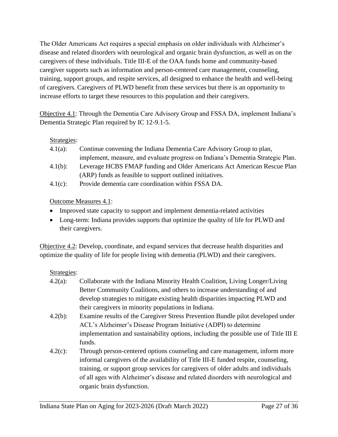The Older Americans Act requires a special emphasis on older individuals with Alzheimer's disease and related disorders with neurological and organic brain dysfunction, as well as on the caregivers of these individuals. Title III-E of the OAA funds home and community-based caregiver supports such as information and person-centered care management, counseling, training, support groups, and respite services, all designed to enhance the health and well-being of caregivers. Caregivers of PLWD benefit from these services but there is an opportunity to increase efforts to target these resources to this population and their caregivers.

Objective 4.1: Through the Dementia Care Advisory Group and FSSA DA, implement Indiana's Dementia Strategic Plan required by IC 12-9.1-5.

#### Strategies:

- 4.1(a): Continue convening the Indiana Dementia Care Advisory Group to plan, implement, measure, and evaluate progress on Indiana's Dementia Strategic Plan.
- 4.1(b): Leverage HCBS FMAP funding and Older Americans Act American Rescue Plan (ARP) funds as feasible to support outlined initiatives.
- 4.1(c): Provide dementia care coordination within FSSA DA.

#### Outcome Measures 4.1:

- Improved state capacity to support and implement dementia-related activities
- Long-term: Indiana provides supports that optimize the quality of life for PLWD and their caregivers.

Objective 4.2: Develop, coordinate, and expand services that decrease health disparities and optimize the quality of life for people living with dementia (PLWD) and their caregivers.

#### Strategies:

- 4.2(a): Collaborate with the Indiana Minority Health Coalition, Living Longer/Living Better Community Coalitions, and others to increase understanding of and develop strategies to mitigate existing health disparities impacting PLWD and their caregivers in minority populations in Indiana.
- 4.2(b): Examine results of the Caregiver Stress Prevention Bundle pilot developed under ACL's Alzheimer's Disease Program Initiative (ADPI) to determine implementation and sustainability options, including the possible use of Title III E funds.
- 4.2(c): Through person-centered options counseling and care management, inform more informal caregivers of the availability of Title III-E funded respite, counseling, training, or support group services for caregivers of older adults and individuals of all ages with Alzheimer's disease and related disorders with neurological and organic brain dysfunction.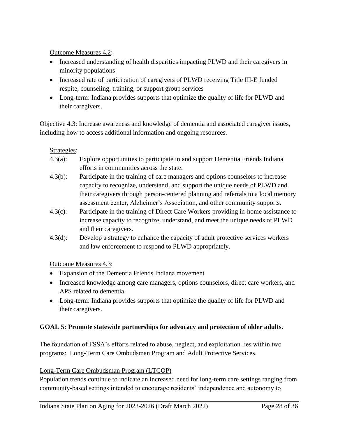Outcome Measures 4.2:

- Increased understanding of health disparities impacting PLWD and their caregivers in minority populations
- Increased rate of participation of caregivers of PLWD receiving Title III-E funded respite, counseling, training, or support group services
- Long-term: Indiana provides supports that optimize the quality of life for PLWD and their caregivers.

Objective 4.3: Increase awareness and knowledge of dementia and associated caregiver issues, including how to access additional information and ongoing resources.

#### Strategies:

- 4.3(a): Explore opportunities to participate in and support Dementia Friends Indiana efforts in communities across the state.
- 4.3(b): Participate in the training of care managers and options counselors to increase capacity to recognize, understand, and support the unique needs of PLWD and their caregivers through person-centered planning and referrals to a local memory assessment center, Alzheimer's Association, and other community supports.
- 4.3(c): Participate in the training of Direct Care Workers providing in-home assistance to increase capacity to recognize, understand, and meet the unique needs of PLWD and their caregivers.
- 4.3(d): Develop a strategy to enhance the capacity of adult protective services workers and law enforcement to respond to PLWD appropriately.

Outcome Measures 4.3:

- Expansion of the Dementia Friends Indiana movement
- Increased knowledge among care managers, options counselors, direct care workers, and APS related to dementia
- Long-term: Indiana provides supports that optimize the quality of life for PLWD and their caregivers.

#### <span id="page-28-0"></span>**GOAL 5: Promote statewide partnerships for advocacy and protection of older adults.**

The foundation of FSSA's efforts related to abuse, neglect, and exploitation lies within two programs: Long-Term Care Ombudsman Program and Adult Protective Services.

#### Long-Term Care Ombudsman Program (LTCOP)

Population trends continue to indicate an increased need for long-term care settings ranging from community-based settings intended to encourage residents' independence and autonomy to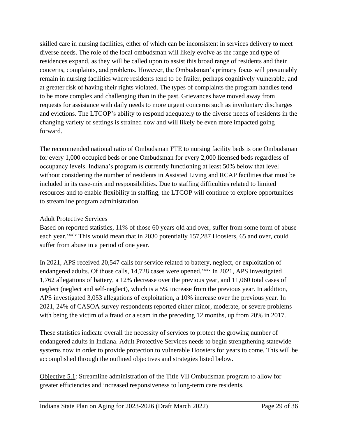skilled care in nursing facilities, either of which can be inconsistent in services delivery to meet diverse needs. The role of the local ombudsman will likely evolve as the range and type of residences expand, as they will be called upon to assist this broad range of residents and their concerns, complaints, and problems. However, the Ombudsman's primary focus will presumably remain in nursing facilities where residents tend to be frailer, perhaps cognitively vulnerable, and at greater risk of having their rights violated. The types of complaints the program handles tend to be more complex and challenging than in the past. Grievances have moved away from requests for assistance with daily needs to more urgent concerns such as involuntary discharges and evictions. The LTCOP's ability to respond adequately to the diverse needs of residents in the changing variety of settings is strained now and will likely be even more impacted going forward.

The recommended national ratio of Ombudsman FTE to nursing facility beds is one Ombudsman for every 1,000 occupied beds or one Ombudsman for every 2,000 licensed beds regardless of occupancy levels. Indiana's program is currently functioning at least 50% below that level without considering the number of residents in Assisted Living and RCAP facilities that must be included in its case-mix and responsibilities. Due to staffing difficulties related to limited resources and to enable flexibility in staffing, the LTCOP will continue to explore opportunities to streamline program administration.

#### Adult Protective Services

Based on reported statistics, 11% of those 60 years old and over, suffer from some form of abuse each year.<sup>xxxiv</sup> This would mean that in 2030 potentially 157,287 Hoosiers, 65 and over, could suffer from abuse in a period of one year.

In 2021, APS received 20,547 calls for service related to battery, neglect, or exploitation of endangered adults. Of those calls, 14,728 cases were opened.<sup>xxxv</sup> In 2021, APS investigated 1,762 allegations of battery, a 12% decrease over the previous year, and 11,060 total cases of neglect (neglect and self-neglect), which is a 5% increase from the previous year. In addition, APS investigated 3,053 allegations of exploitation, a 10% increase over the previous year. In 2021, 24% of CASOA survey respondents reported either minor, moderate, or severe problems with being the victim of a fraud or a scam in the preceding 12 months, up from 20% in 2017.

These statistics indicate overall the necessity of services to protect the growing number of endangered adults in Indiana. Adult Protective Services needs to begin strengthening statewide systems now in order to provide protection to vulnerable Hoosiers for years to come. This will be accomplished through the outlined objectives and strategies listed below.

Objective 5.1: Streamline administration of the Title VII Ombudsman program to allow for greater efficiencies and increased responsiveness to long-term care residents.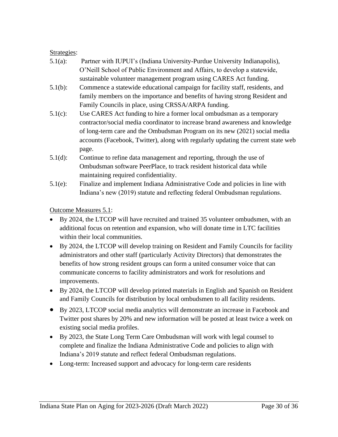#### Strategies:

- 5.1(a): Partner with IUPUI's (Indiana University-Purdue University Indianapolis), O'Neill School of Public Environment and Affairs, to develop a statewide, sustainable volunteer management program using CARES Act funding.
- 5.1(b): Commence a statewide educational campaign for facility staff, residents, and family members on the importance and benefits of having strong Resident and Family Councils in place, using CRSSA/ARPA funding.
- 5.1(c): Use CARES Act funding to hire a former local ombudsman as a temporary contractor/social media coordinator to increase brand awareness and knowledge of long-term care and the Ombudsman Program on its new (2021) social media accounts (Facebook, Twitter), along with regularly updating the current state web page.
- 5.1(d): Continue to refine data management and reporting, through the use of Ombudsman software PeerPlace, to track resident historical data while maintaining required confidentiality.
- 5.1(e): Finalize and implement Indiana Administrative Code and policies in line with Indiana's new (2019) statute and reflecting federal Ombudsman regulations.

Outcome Measures 5.1:

- By 2024, the LTCOP will have recruited and trained 35 volunteer ombudsmen, with an additional focus on retention and expansion, who will donate time in LTC facilities within their local communities.
- By 2024, the LTCOP will develop training on Resident and Family Councils for facility administrators and other staff (particularly Activity Directors) that demonstrates the benefits of how strong resident groups can form a united consumer voice that can communicate concerns to facility administrators and work for resolutions and improvements.
- By 2024, the LTCOP will develop printed materials in English and Spanish on Resident and Family Councils for distribution by local ombudsmen to all facility residents.
- By 2023, LTCOP social media analytics will demonstrate an increase in Facebook and Twitter post shares by 20% and new information will be posted at least twice a week on existing social media profiles.
- By 2023, the State Long Term Care Ombudsman will work with legal counsel to complete and finalize the Indiana Administrative Code and policies to align with Indiana's 2019 statute and reflect federal Ombudsman regulations.
- Long-term: Increased support and advocacy for long-term care residents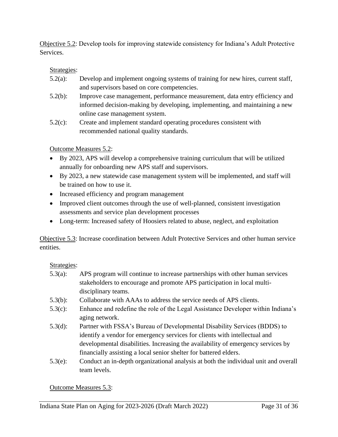Objective 5.2: Develop tools for improving statewide consistency for Indiana's Adult Protective Services.

#### Strategies:

- 5.2(a): Develop and implement ongoing systems of training for new hires, current staff, and supervisors based on core competencies.
- 5.2(b): Improve case management, performance measurement, data entry efficiency and informed decision-making by developing, implementing, and maintaining a new online case management system.
- 5.2(c): Create and implement standard operating procedures consistent with recommended national quality standards.

Outcome Measures 5.2:

- By 2023, APS will develop a comprehensive training curriculum that will be utilized annually for onboarding new APS staff and supervisors.
- By 2023, a new statewide case management system will be implemented, and staff will be trained on how to use it.
- Increased efficiency and program management
- Improved client outcomes through the use of well-planned, consistent investigation assessments and service plan development processes
- Long-term: Increased safety of Hoosiers related to abuse, neglect, and exploitation

Objective 5.3: Increase coordination between Adult Protective Services and other human service entities.

Strategies:

- 5.3(a): APS program will continue to increase partnerships with other human services stakeholders to encourage and promote APS participation in local multidisciplinary teams.
- 5.3(b): Collaborate with AAAs to address the service needs of APS clients.
- 5.3(c): Enhance and redefine the role of the Legal Assistance Developer within Indiana's aging network.
- 5.3(d): Partner with FSSA's Bureau of Developmental Disability Services (BDDS) to identify a vendor for emergency services for clients with intellectual and developmental disabilities. Increasing the availability of emergency services by financially assisting a local senior shelter for battered elders.
- 5.3(e): Conduct an in-depth organizational analysis at both the individual unit and overall team levels.

#### Outcome Measures 5.3: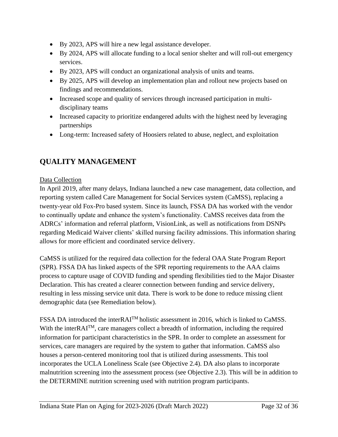- By 2023, APS will hire a new legal assistance developer.
- By 2024, APS will allocate funding to a local senior shelter and will roll-out emergency services.
- By 2023, APS will conduct an organizational analysis of units and teams.
- By 2025, APS will develop an implementation plan and rollout new projects based on findings and recommendations.
- Increased scope and quality of services through increased participation in multidisciplinary teams
- Increased capacity to prioritize endangered adults with the highest need by leveraging partnerships
- Long-term: Increased safety of Hoosiers related to abuse, neglect, and exploitation

# <span id="page-32-0"></span>**QUALITY MANAGEMENT**

#### Data Collection

In April 2019, after many delays, Indiana launched a new case management, data collection, and reporting system called Care Management for Social Services system (CaMSS), replacing a twenty-year old Fox-Pro based system. Since its launch, FSSA DA has worked with the vendor to continually update and enhance the system's functionality. CaMSS receives data from the ADRCs' information and referral platform, VisionLink, as well as notifications from DSNPs regarding Medicaid Waiver clients' skilled nursing facility admissions. This information sharing allows for more efficient and coordinated service delivery.

CaMSS is utilized for the required data collection for the federal OAA State Program Report (SPR). FSSA DA has linked aspects of the SPR reporting requirements to the AAA claims process to capture usage of COVID funding and spending flexibilities tied to the Major Disaster Declaration. This has created a clearer connection between funding and service delivery, resulting in less missing service unit data. There is work to be done to reduce missing client demographic data (see Remediation below).

FSSA DA introduced the interRAITM holistic assessment in 2016, which is linked to CaMSS. With the interRAI<sup>TM</sup>, care managers collect a breadth of information, including the required information for participant characteristics in the SPR. In order to complete an assessment for services, care managers are required by the system to gather that information. CaMSS also houses a person-centered monitoring tool that is utilized during assessments. This tool incorporates the UCLA Loneliness Scale (see Objective 2.4). DA also plans to incorporate malnutrition screening into the assessment process (see Objective 2.3). This will be in addition to the DETERMINE nutrition screening used with nutrition program participants.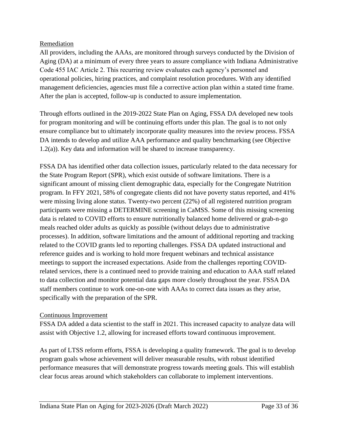#### Remediation

All providers, including the AAAs, are monitored through surveys conducted by the Division of Aging (DA) at a minimum of every three years to assure compliance with Indiana Administrative Code 455 IAC Article 2. This recurring review evaluates each agency's personnel and operational policies, hiring practices, and complaint resolution procedures. With any identified management deficiencies, agencies must file a corrective action plan within a stated time frame. After the plan is accepted, follow-up is conducted to assure implementation.

Through efforts outlined in the 2019-2022 State Plan on Aging, FSSA DA developed new tools for program monitoring and will be continuing efforts under this plan. The goal is to not only ensure compliance but to ultimately incorporate quality measures into the review process. FSSA DA intends to develop and utilize AAA performance and quality benchmarking (see Objective 1.2(a)). Key data and information will be shared to increase transparency.

FSSA DA has identified other data collection issues, particularly related to the data necessary for the State Program Report (SPR), which exist outside of software limitations. There is a significant amount of missing client demographic data, especially for the Congregate Nutrition program. In FFY 2021, 58% of congregate clients did not have poverty status reported, and 41% were missing living alone status. Twenty-two percent (22%) of all registered nutrition program participants were missing a DETERMINE screening in CaMSS. Some of this missing screening data is related to COVID efforts to ensure nutritionally balanced home delivered or grab-n-go meals reached older adults as quickly as possible (without delays due to administrative processes). In addition, software limitations and the amount of additional reporting and tracking related to the COVID grants led to reporting challenges. FSSA DA updated instructional and reference guides and is working to hold more frequent webinars and technical assistance meetings to support the increased expectations. Aside from the challenges reporting COVIDrelated services, there is a continued need to provide training and education to AAA staff related to data collection and monitor potential data gaps more closely throughout the year. FSSA DA staff members continue to work one-on-one with AAAs to correct data issues as they arise, specifically with the preparation of the SPR.

#### Continuous Improvement

FSSA DA added a data scientist to the staff in 2021. This increased capacity to analyze data will assist with Objective 1.2, allowing for increased efforts toward continuous improvement.

As part of LTSS reform efforts, FSSA is developing a quality framework. The goal is to develop program goals whose achievement will deliver measurable results, with robust identified performance measures that will demonstrate progress towards meeting goals. This will establish clear focus areas around which stakeholders can collaborate to implement interventions.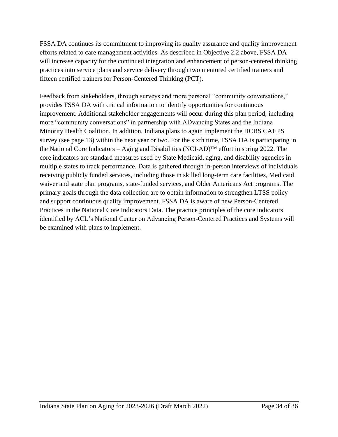FSSA DA continues its commitment to improving its quality assurance and quality improvement efforts related to care management activities. As described in Objective 2.2 above, FSSA DA will increase capacity for the continued integration and enhancement of person-centered thinking practices into service plans and service delivery through two mentored certified trainers and fifteen certified trainers for Person-Centered Thinking (PCT).

Feedback from stakeholders, through surveys and more personal "community conversations," provides FSSA DA with critical information to identify opportunities for continuous improvement. Additional stakeholder engagements will occur during this plan period, including more "community conversations" in partnership with ADvancing States and the Indiana Minority Health Coalition. In addition, Indiana plans to again implement the HCBS CAHPS survey (see page 13) within the next year or two. For the sixth time, FSSA DA is participating in the National Core Indicators – Aging and Disabilities (NCI-AD)<sup>TM</sup> effort in spring 2022. The core indicators are standard measures used by State Medicaid, aging, and disability agencies in multiple states to track performance. Data is gathered through in-person interviews of individuals receiving publicly funded services, including those in skilled long-term care facilities, Medicaid waiver and state plan programs, state-funded services, and Older Americans Act programs. The primary goals through the data collection are to obtain information to strengthen LTSS policy and support continuous quality improvement. FSSA DA is aware of new Person-Centered Practices in the National Core Indicators Data. The practice principles of the core indicators identified by ACL's National Center on Advancing Person-Centered Practices and Systems will be examined with plans to implement.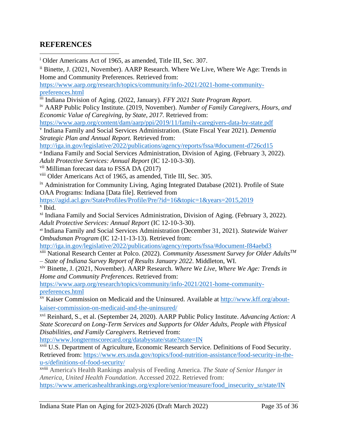### <span id="page-35-0"></span>**REFERENCES**

<sup>i</sup> Older Americans Act of 1965, as amended, Title III, Sec. 307.

ii Binette, J. (2021, November). AARP Research. Where We Live, Where We Age: Trends in Home and Community Preferences. Retrieved from:

[https://www.aarp.org/research/topics/community/info-2021/2021-home-community](https://www.aarp.org/research/topics/community/info-2021/2021-home-community-preferences.html)[preferences.html](https://www.aarp.org/research/topics/community/info-2021/2021-home-community-preferences.html)

iii Indiana Division of Aging. (2022, January). *FFY 2021 State Program Report*.

iv AARP Public Policy Institute. (2019, November). *Number of Family Caregivers, Hours, and Economic Value of Caregiving, by State, 2017.* Retrieved from:

<https://www.aarp.org/content/dam/aarp/ppi/2019/11/family-caregivers-data-by-state.pdf>

v Indiana Family and Social Services Administration. (State Fiscal Year 2021). *Dementia Strategic Plan and Annual Report.* Retrieved from:

<http://iga.in.gov/legislative/2022/publications/agency/reports/fssa/#document-d726cd15> vi Indiana Family and Social Services Administration, Division of Aging. (February 3, 2022). *Adult Protective Services: Annual Report* (IC 12-10-3-30).

vii Milliman forecast data to FSSA DA (2017)

viii Older Americans Act of 1965, as amended, Title III, Sec. 305.

ix Administration for Community Living, Aging Integrated Database (2021). Profile of State OAA Programs: Indiana [Data file]. Retrieved from

<https://agid.acl.gov/StateProfiles/Profile/Pre/?id=16&topic=1&years=2015,2019> x Ibid.

<sup>xi</sup> Indiana Family and Social Services Administration, Division of Aging. (February 3, 2022). *Adult Protective Services: Annual Report* (IC 12-10-3-30).

xii Indiana Family and Social Services Administration (December 31, 2021). *Statewide Waiver Ombudsman Program* (IC 12-11-13-13). Retrieved from:

<http://iga.in.gov/legislative/2022/publications/agency/reports/fssa/#document-f84aebd3>

xiii National Research Center at Polco. (2022). *Community Assessment Survey for Older AdultsTM – State of Indiana Survey Report of Results January 2022*. Middleton, WI.

xiv Binette, J. (2021, November). AARP Research. *Where We Live, Where We Age: Trends in Home and Community Preferences*. Retrieved from:

[https://www.aarp.org/research/topics/community/info-2021/2021-home-community](https://www.aarp.org/research/topics/community/info-2021/2021-home-community-preferences.html)[preferences.html](https://www.aarp.org/research/topics/community/info-2021/2021-home-community-preferences.html)

xv Kaiser Commission on Medicaid and the Uninsured. Available at [http://www.kff.org/about](http://www.kff.org/about-kaiser-commission-on-medicaid-and-the-uninsured/)[kaiser-commission-on-medicaid-and-the-uninsured/](http://www.kff.org/about-kaiser-commission-on-medicaid-and-the-uninsured/)

xvi Reinhard, S., et al. (September 24, 2020). AARP Public Policy Institute. *Advancing Action: A State Scorecard on Long-Term Services and Supports for Older Adults, People with Physical Disabilities, and Family Caregivers*. Retrieved from:

<http://www.longtermscorecard.org/databystate/state?state=IN>

xvii U.S. Department of Agriculture, Economic Research Service. Definitions of Food Security. Retrieved from: [https://www.ers.usda.gov/topics/food-nutrition-assistance/food-security-in-the](https://www.ers.usda.gov/topics/food-nutrition-assistance/food-security-in-the-u-s/definitions-of-food-security/)[u-s/definitions-of-food-security/](https://www.ers.usda.gov/topics/food-nutrition-assistance/food-security-in-the-u-s/definitions-of-food-security/)

xviii America's Health Rankings analysis of Feeding America. *The State of Senior Hunger in America, United Health Foundation*. Accessed 2022. Retrieved from: [https://www.americashealthrankings.org/explore/senior/measure/food\\_insecurity\\_sr/state/IN](https://www.americashealthrankings.org/explore/senior/measure/food_insecurity_sr/state/IN)